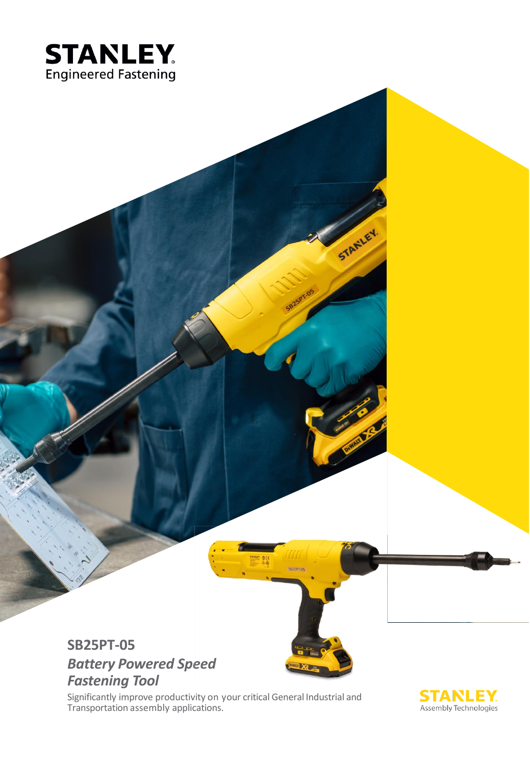

## **SB25PT-05** *Battery Powered Speed Fastening Tool*

Significantly improve productivity on your critical General Industrial and Transportation assembly applications.



STANLEY.